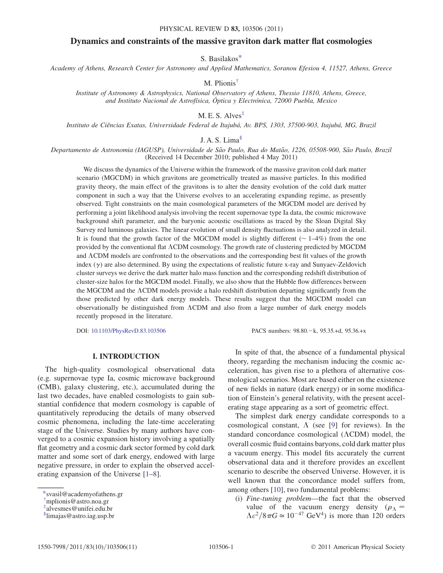# Dynamics and constraints of the massive graviton dark matter flat cosmologies

S. Basilako[s\\*](#page-0-0)

<span id="page-0-4"></span><span id="page-0-3"></span>Academy of Athens, Research Center for Astronomy and Applied Mathematics, Soranou Efesiou 4, 11527, Athens, Greece

M. Plionis[†](#page-0-1)

Institute of Astronomy & Astrophysics, National Observatory of Athens, Thessio 11810, Athens, Greece, and Instituto Nacional de Astrofísica, Óptica y Electrónica, 72000 Puebla, Mexico

 $M.E.S. Alves$ <sup> $#$ </sup>

<span id="page-0-5"></span>Instituto de Ciências Exatas, Universidade Federal de Itajubá, Av. BPS, 1303, 37500-903, Itajubá, MG, Brazil

J. A. S. Lima $\frac{1}{2}$ 

Departamento de Astronomia (IAGUSP), Universidade de São Paulo, Rua do Matão, 1226, 05508-900, São Paulo, Brazil (Received 14 December 2010; published 4 May 2011)

We discuss the dynamics of the Universe within the framework of the massive graviton cold dark matter scenario (MGCDM) in which gravitons are geometrically treated as massive particles. In this modified gravity theory, the main effect of the gravitons is to alter the density evolution of the cold dark matter component in such a way that the Universe evolves to an accelerating expanding regime, as presently observed. Tight constraints on the main cosmological parameters of the MGCDM model are derived by performing a joint likelihood analysis involving the recent supernovae type Ia data, the cosmic microwave background shift parameter, and the baryonic acoustic oscillations as traced by the Sloan Digital Sky Survey red luminous galaxies. The linear evolution of small density fluctuations is also analyzed in detail. It is found that the growth factor of the MGCDM model is slightly different ( $\sim 1-4\%$ ) from the one provided by the conventional flat CDM cosmology. The growth rate of clustering predicted by MGCDM and ACDM models are confronted to the observations and the corresponding best fit values of the growth index  $(y)$  are also determined. By using the expectations of realistic future x-ray and Sunyaev-Zeldovich cluster surveys we derive the dark matter halo mass function and the corresponding redshift distribution of cluster-size halos for the MGCDM model. Finally, we also show that the Hubble flow differences between the MGCDM and the CDM models provide a halo redshift distribution departing significantly from the those predicted by other dark energy models. These results suggest that the MGCDM model can observationally be distinguished from CDM and also from a large number of dark energy models recently proposed in the literature.

DOI: [10.1103/PhysRevD.83.103506](http://dx.doi.org/10.1103/PhysRevD.83.103506)

PACS numbers: 98.80.-k, 95.35.+d, 95.36.+x

## I. INTRODUCTION

The high-quality cosmological observational data (e.g. supernovae type Ia, cosmic microwave background (CMB), galaxy clustering, etc.), accumulated during the last two decades, have enabled cosmologists to gain substantial confidence that modern cosmology is capable of quantitatively reproducing the details of many observed cosmic phenomena, including the late-time accelerating stage of the Universe. Studies by many authors have converged to a cosmic expansion history involving a spatially flat geometry and a cosmic dark sector formed by cold dark matter and some sort of dark energy, endowed with large negative pressure, in order to explain the observed accelerating expansion of the Universe [\[1](#page-8-0)–[8\]](#page-8-1).

In spite of that, the absence of a fundamental physical theory, regarding the mechanism inducing the cosmic acceleration, has given rise to a plethora of alternative cosmological scenarios. Most are based either on the existence of new fields in nature (dark energy) or in some modification of Einstein's general relativity, with the present accelerating stage appearing as a sort of geometric effect.

The simplest dark energy candidate corresponds to a cosmological constant,  $\Lambda$  (see [\[9](#page-8-2)] for reviews). In the standard concordance cosmological  $(ACDM)$  model, the overall cosmic fluid contains baryons, cold dark matter plus a vacuum energy. This model fits accurately the current observational data and it therefore provides an excellent scenario to describe the observed Universe. However, it is well known that the concordance model suffers from, among others [[10](#page-8-3)], two fundamental problems:

(i) Fine-tuning problem—the fact that the observed value of the vacuum energy density  $(\rho_{\Lambda} =$  $\Lambda c^2/8\pi G \simeq 10^{-47}$  GeV<sup>4</sup>) is more than 120 orders

<span id="page-0-0"></span>[<sup>\\*</sup>s](#page-0-3)vasil@academyofathens.gr

<span id="page-0-1"></span>[<sup>†</sup>](#page-0-4) mplionis@astro.noa.gr

<span id="page-0-2"></span>[<sup>‡</sup>](#page-0-5) alvesmes@unifei.edu.br

x limajas@astro.iag.usp.br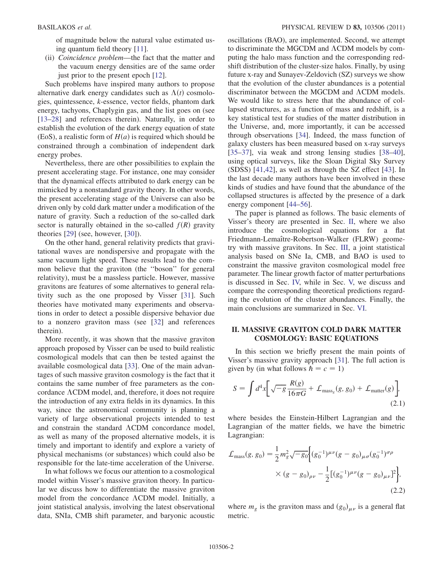of magnitude below the natural value estimated using quantum field theory [[11](#page-8-4)].

(ii) Coincidence problem—the fact that the matter and the vacuum energy densities are of the same order just prior to the present epoch [[12](#page-8-5)].

Such problems have inspired many authors to propose alternative dark energy candidates such as  $\Lambda(t)$  cosmologies, quintessence, k-essence, vector fields, phantom dark energy, tachyons, Chaplygin gas, and the list goes on (see [\[13–](#page-8-6)[28\]](#page-9-0) and references therein). Naturally, in order to establish the evolution of the dark energy equation of state (EoS), a realistic form of  $H(a)$  is required which should be constrained through a combination of independent dark energy probes.

Nevertheless, there are other possibilities to explain the present accelerating stage. For instance, one may consider that the dynamical effects attributed to dark energy can be mimicked by a nonstandard gravity theory. In other words, the present accelerating stage of the Universe can also be driven only by cold dark matter under a modification of the nature of gravity. Such a reduction of the so-called dark sector is naturally obtained in the so-called  $f(R)$  gravity theories [[29](#page-9-1)] (see, however, [\[30\]](#page-9-2)).

On the other hand, general relativity predicts that gravitational waves are nondispersive and propagate with the same vacuum light speed. These results lead to the common believe that the graviton (the ''boson'' for general relativity), must be a massless particle. However, massive gravitons are features of some alternatives to general relativity such as the one proposed by Visser [[31](#page-9-3)]. Such theories have motivated many experiments and observations in order to detect a possible dispersive behavior due to a nonzero graviton mass (see [\[32\]](#page-9-4) and references therein).

More recently, it was shown that the massive graviton approach proposed by Visser can be used to build realistic cosmological models that can then be tested against the available cosmological data [\[33\]](#page-9-5). One of the main advantages of such massive graviton cosmology is the fact that it contains the same number of free parameters as the concordance  $\Lambda$ CDM model, and, therefore, it does not require the introduction of any extra fields in its dynamics. In this way, since the astronomical community is planning a variety of large observational projects intended to test and constrain the standard  $\Lambda$ CDM concordance model, as well as many of the proposed alternative models, it is timely and important to identify and explore a variety of physical mechanisms (or substances) which could also be responsible for the late-time acceleration of the Universe.

In what follows we focus our attention to a cosmological model within Visser's massive graviton theory. In particular we discuss how to differentiate the massive graviton model from the concordance ACDM model. Initially, a joint statistical analysis, involving the latest observational data, SNIa, CMB shift parameter, and baryonic acoustic oscillations (BAO), are implemented. Second, we attempt to discriminate the MGCDM and  $\Lambda$ CDM models by computing the halo mass function and the corresponding redshift distribution of the cluster-size halos. Finally, by using future x-ray and Sunayev-Zeldovich (SZ) surveys we show that the evolution of the cluster abundances is a potential discriminator between the MGCDM and  $\Lambda$ CDM models. We would like to stress here that the abundance of collapsed structures, as a function of mass and redshift, is a key statistical test for studies of the matter distribution in the Universe, and, more importantly, it can be accessed through observations [[34](#page-9-6)]. Indeed, the mass function of galaxy clusters has been measured based on x-ray surveys [\[35–](#page-9-7)[37\]](#page-9-8), via weak and strong lensing studies [[38](#page-9-9)–[40\]](#page-9-10), using optical surveys, like the Sloan Digital Sky Survey (SDSS) [[41](#page-9-11),[42](#page-9-12)], as well as through the SZ effect [\[43\]](#page-9-13). In the last decade many authors have been involved in these kinds of studies and have found that the abundance of the collapsed structures is affected by the presence of a dark energy component [[44](#page-9-14)[–56\]](#page-9-15).

The paper is planned as follows. The basic elements of Visser's theory are presented in Sec. [II,](#page-1-0) where we also introduce the cosmological equations for a flat Friedmann-Lemaître-Robertson-Walker (FLRW) geometry with massive gravitons. In Sec. [III](#page-3-0), a joint statistical analysis based on SNe Ia, CMB, and BAO is used to constraint the massive graviton cosmological model free parameter. The linear growth factor of matter perturbations is discussed in Sec. [IV,](#page-3-1) while in Sec. [V,](#page-6-0) we discuss and compare the corresponding theoretical predictions regarding the evolution of the cluster abundances. Finally, the main conclusions are summarized in Sec. [VI.](#page-8-7)

# <span id="page-1-0"></span>II. MASSIVE GRAVITON COLD DARK MATTER COSMOLOGY: BASIC EQUATIONS

In this section we briefly present the main points of Visser's massive gravity approach [\[31\]](#page-9-3). The full action is given by (in what follows  $\hbar = c = 1$ )

<span id="page-1-1"></span>
$$
S = \int d^4x \bigg[ \sqrt{-g} \frac{R(g)}{16\pi G} + \mathcal{L}_{\text{mass}_g}(g, g_0) + \mathcal{L}_{\text{matter}}(g) \bigg],
$$
\n(2.1)

where besides the Einstein-Hilbert Lagrangian and the Lagrangian of the matter fields, we have the bimetric Lagrangian:

$$
\mathcal{L}_{\text{mass}}(g, g_0) = \frac{1}{2} m_g^2 \sqrt{-g_0} \Big\{ (g_0^{-1})^{\mu \nu} (g - g_0)_{\mu \sigma} (g_0^{-1})^{\sigma \rho} \times (g - g_0)_{\rho \nu} - \frac{1}{2} [(g_0^{-1})^{\mu \nu} (g - g_0)_{\mu \nu}]^2 \Big\},\tag{2.2}
$$

where  $m_g$  is the graviton mass and  $(g_0)_{\mu\nu}$  is a general flat metric.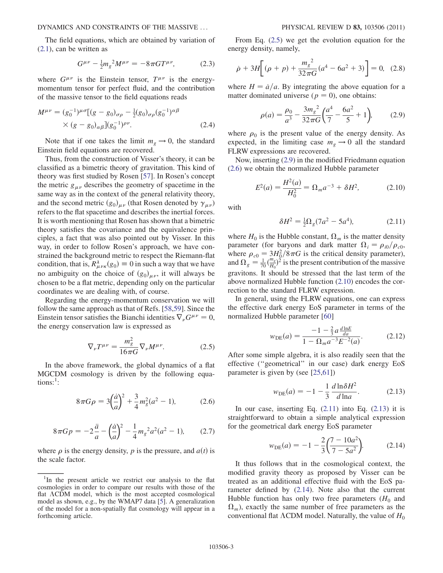DYNAMICS AND CONSTRAINTS OF THE MASSIVE ... PHYSICAL REVIEW D 83, 103506 (2011)

The field equations, which are obtained by variation of [\(2.1\)](#page-1-1), can be written as

$$
G^{\mu\nu} - \frac{1}{2} m_g^2 M^{\mu\nu} = -8\pi G T^{\mu\nu}, \qquad (2.3)
$$

where  $G^{\mu\nu}$  is the Einstein tensor,  $T^{\mu\nu}$  is the energymomentum tensor for perfect fluid, and the contribution of the massive tensor to the field equations reads

$$
M^{\mu\nu} = (g_0^{-1})^{\mu\sigma} [(g - g_0)_{\sigma\rho} - \frac{1}{2} (g_0)_{\sigma\rho} (g_0^{-1})^{\alpha\beta} \times (g - g_0)_{\alpha\beta} ] (g_0^{-1})^{\rho\nu}.
$$
 (2.4)

Note that if one takes the limit  $m_g \to 0$ , the standard Einstein field equations are recovered.

Thus, from the construction of Visser's theory, it can be classified as a bimetric theory of gravitation. This kind of theory was first studied by Rosen [[57](#page-9-16)]. In Rosen's concept the metric  $g_{\mu\nu}$  describes the geometry of spacetime in the same way as in the context of the general relativity theory, and the second metric  $(g_0)_{\mu\nu}$  (that Rosen denoted by  $\gamma_{\mu\nu}$ ) refers to the flat spacetime and describes the inertial forces. It is worth mentioning that Rosen has shown that a bimetric theory satisfies the covariance and the equivalence principles, a fact that was also pointed out by Visser. In this way, in order to follow Rosen's approach, we have constrained the background metric to respect the Riemann-flat condition, that is,  $R^{\lambda}_{\mu\nu\kappa}(g_0) \equiv 0$  in such a way that we have no ambiguity on the choice of  $(g_0)_{\mu\nu}$ , it will always be chosen to be a flat metric, depending only on the particular coordinates we are dealing with, of course.

<span id="page-2-0"></span>Regarding the energy-momentum conservation we will follow the same approach as that of Refs. [\[58,](#page-9-17)[59\]](#page-9-18). Since the Einstein tensor satisfies the Bianchi identities  $\nabla_{\nu}G^{\mu\nu} = 0$ , the energy conservation law is expressed as

$$
\nabla_{\nu}T^{\mu\nu} = \frac{m_g^2}{16\pi G} \nabla_{\nu}M^{\mu\nu}.
$$
 (2.5)

In the above framework, the global dynamics of a flat MGCDM cosmology is driven by the following equations: $^1$ :

$$
8\pi G\rho = 3\left(\frac{\dot{a}}{a}\right)^2 + \frac{3}{4}m_g^2(a^2 - 1),\tag{2.6}
$$

<span id="page-2-2"></span>
$$
8\pi G p = -2\frac{\ddot{a}}{a} - \left(\frac{\dot{a}}{a}\right)^2 - \frac{1}{4}m_g^2 a^2 (a^2 - 1),\tag{2.7}
$$

where  $\rho$  is the energy density,  $p$  is the pressure, and  $a(t)$  is the scale factor.

From Eq. ([2.5](#page-2-0)) we get the evolution equation for the energy density, namely,

$$
\dot{\rho} + 3H \bigg[ (\rho + p) + \frac{m_g^2}{32\pi G} (a^4 - 6a^2 + 3) \bigg] = 0, \tag{2.8}
$$

<span id="page-2-1"></span>where  $H = \dot{a}/a$ . By integrating the above equation for a matter dominated universe ( $p = 0$ ), one obtains:

$$
\rho(a) = \frac{\rho_0}{a^3} - \frac{3m_g^2}{32\pi G} \left(\frac{a^4}{7} - \frac{6a^2}{5} + 1\right),\tag{2.9}
$$

where  $\rho_0$  is the present value of the energy density. As expected, in the limiting case  $m_g \rightarrow 0$  all the standard FLRW expressions are recovered.

<span id="page-2-3"></span>Now, inserting [\(2.9\)](#page-2-1) in the modified Friedmann equation [\(2.6\)](#page-2-2) we obtain the normalized Hubble parameter

$$
E^2(a) = \frac{H^2(a)}{H_0^2} = \Omega_m a^{-3} + \delta H^2,
$$
 (2.10)

<span id="page-2-4"></span>with

$$
\delta H^2 = \frac{1}{2} \Omega_g (7a^2 - 5a^4),\tag{2.11}
$$

where  $H_0$  is the Hubble constant,  $\Omega_m$  is the matter density parameter (for baryons and dark matter  $\Omega_i = \rho_{i0}/\rho_{c0}$ ), where  $\rho_{c0} = 3H_0^2/8\pi G$  is the critical density parameter), and  $\Omega_g = \frac{1}{70} \left( \frac{m_g}{H_0} \right)$  $\frac{m_g}{H_0}$ <sup>2</sup> is the present contribution of the massive gravitons. It should be stressed that the last term of the above normalized Hubble function [\(2.10\)](#page-2-3) encodes the correction to the standard FLRW expression.

In general, using the FLRW equations, one can express the effective dark energy EoS parameter in terms of the normalized Hubble parameter [[60](#page-9-19)]

$$
w_{\text{DE}}(a) = \frac{-1 - \frac{2}{3}a \frac{d \ln E}{da}}{1 - \Omega_m a^{-3} E^{-2}(a)}.
$$
 (2.12)

<span id="page-2-5"></span>After some simple algebra, it is also readily seen that the effective (''geometrical'' in our case) dark energy EoS parameter is given by (see [[25](#page-9-20),[61](#page-9-21)])

$$
w_{\text{DE}}(a) = -1 - \frac{1}{3} \frac{d \ln \delta H^2}{d \ln a}.
$$
 (2.13)

<span id="page-2-6"></span>In our case, inserting Eq.  $(2.11)$  $(2.11)$  into Eq.  $(2.13)$  $(2.13)$  it is straightforward to obtain a simple analytical expression for the geometrical dark energy EoS parameter

$$
w_{\text{DE}}(a) = -1 - \frac{2}{3} \left( \frac{7 - 10a^2}{7 - 5a^2} \right).
$$
 (2.14)

It thus follows that in the cosmological context, the modified gravity theory as proposed by Visser can be treated as an additional effective fluid with the EoS parameter defined by [\(2.14\)](#page-2-6). Note also that the current Hubble function has only two free parameters  $(H_0$  and  $\Omega_m$ ), exactly the same number of free parameters as the conventional flat  $\Lambda$ CDM model. Naturally, the value of  $H_0$ 

<sup>&</sup>lt;sup>1</sup>In the present article we restrict our analysis to the flat cosmologies in order to compare our results with those of the flat  $\Lambda$ CDM model, which is the most accepted cosmological model as shown, e.g., by the WMAP7 data [\[5\]](#page-8-8). A generalization of the model for a non-spatially flat cosmology will appear in a forthcoming article.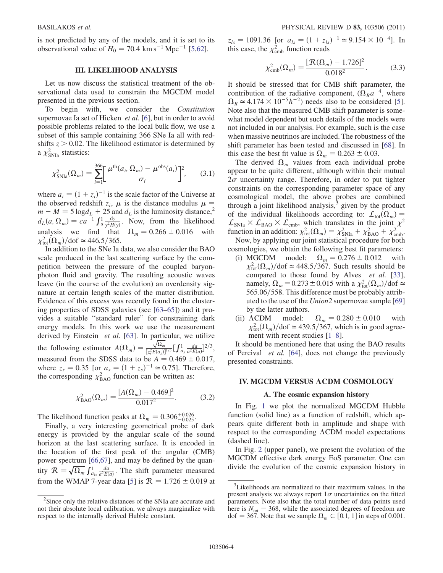is not predicted by any of the models, and it is set to its observational value of  $H_0 = 70.4 \text{ km s}^{-1} \text{ Mpc}^{-1}$  [\[5](#page-8-8)[,62](#page-9-22)].

### III. LIKELIHOOD ANALYSIS

<span id="page-3-0"></span>Let us now discuss the statistical treatment of the observational data used to constrain the MGCDM model presented in the previous section.

To begin with, we consider the Constitution supernovae Ia set of Hicken *et al.* [\[6](#page-8-9)], but in order to avoid possible problems related to the local bulk flow, we use a subset of this sample containing 366 SNe Ia all with redshifts  $z > 0.02$ . The likelihood estimator is determined by a  $\chi^2_{\rm SNIa}$  statistics:

$$
\chi^2_{\text{SNIa}}(\Omega_m) = \sum_{i=1}^{366} \left[ \frac{\mu^{\text{th}}(a_i, \Omega_m) - \mu^{\text{obs}}(a_i)}{\sigma_i} \right]^2, \qquad (3.1)
$$

where  $a_i = (1 + z_i)^{-1}$  is the scale factor of the Universe at the observed redshift  $z_i$ ,  $\mu$  is the distance modulus  $\mu =$  $m - M = 5 \log d_L + 25$  and  $d_L$  is the luminosity distance,<sup>2</sup>  $d_L(a, \Omega_m) = ca^{-1} \int_a^1 \frac{dy}{y^2 H(y)}$ . Now, from the likelihood analysis we find that  $\Omega_m = 0.266 \pm 0.016$  with  $\chi^2_{\text{tot}}(\Omega_m)/\text{dof} \simeq 446.5/365.$ 

In addition to the SNe Ia data, we also consider the BAO scale produced in the last scattering surface by the competition between the pressure of the coupled baryonphoton fluid and gravity. The resulting acoustic waves leave (in the course of the evolution) an overdensity signature at certain length scales of the matter distribution. Evidence of this excess was recently found in the clustering properties of SDSS galaxies (see [[63](#page-9-23)[–65\]](#page-9-24)) and it provides a suitable ''standard ruler'' for constraining dark energy models. In this work we use the measurement derived by Einstein et al. [\[63\]](#page-9-23). In particular, we utilize the following estimator  $A(\Omega_m)$  =  $\sqrt{\Omega_m}$  $\frac{\sqrt{\Lambda}L_m}{[z_s^2E(a_s)]^{1/3}}\Big[\int_{a_s}^1\frac{da}{a^2E(a)}\Big]^{2/3},$ measured from the SDSS data to be  $A = 0.469 \pm 0.017$ , where  $z_s = 0.35$  [or  $a_s = (1 + z_s)^{-1} \approx 0.75$ ]. Therefore, the corresponding  $\chi^2_{\text{BAO}}$  function can be written as:

$$
\chi_{\text{BAO}}^2(\Omega_m) = \frac{[A(\Omega_m) - 0.469]^2}{0.017^2}.
$$
 (3.2)

The likelihood function peaks at  $\Omega_m = 0.306^{+0.026}_{-0.025}$ .

Finally, a very interesting geometrical probe of dark energy is provided by the angular scale of the sound horizon at the last scattering surface. It is encoded in the location of the first peak of the angular (CMB) power spectrum [[66](#page-9-25),[67](#page-9-26)], and may be defined by the quantity  $\mathcal{R} = \sqrt{\Omega_m} \int_{a_{ls}}^1 \frac{da}{a^2 E(a)}$ . The shift parameter measured from the WMAP 7-year data [[5\]](#page-8-8) is  $\mathcal{R} = 1.726 \pm 0.019$  at  $z_{ls} = 1091.36$  [or  $a_{ls} = (1 + z_{ls})^{-1} \approx 9.154 \times 10^{-4}$ ]. In this case, the  $\chi^2_{\rm cmb}$  function reads

$$
\chi_{\rm cmb}^2(\Omega_m) = \frac{[\mathcal{R}(\Omega_m) - 1.726]^2}{0.018^2}.
$$
 (3.3)

It should be stressed that for CMB shift parameter, the contribution of the radiative component,  $(\Omega_R a^{-4})$ , where  $\Omega_R \simeq 4.174 \times 10^{-5} h^{-2}$  needs also to be considered [[5\]](#page-8-8). Note also that the measured CMB shift parameter is somewhat model dependent but such details of the models were not included in our analysis. For example, such is the case when massive neutrinos are included. The robustness of the shift parameter has been tested and discussed in [\[68](#page-9-27)]. In this case the best fit value is  $\Omega_m = 0.263 \pm 0.03$ .

The derived  $\Omega_m$  values from each individual probe appear to be quite different, although within their mutual  $2\sigma$  uncertainty range. Therefore, in order to put tighter constraints on the corresponding parameter space of any cosmological model, the above probes are combined through a joint likelihood analysis, $3$  given by the product of the individual likelihoods according to:  $\mathcal{L}_{\text{tot}}(\Omega_m) =$  $\mathcal{L}_{\text{SNIa}} \times \mathcal{L}_{\text{BAO}} \times \mathcal{L}_{\text{cmb}}$ , which translates in the joint  $\chi^2$ function in an addition:  $\chi^2_{\text{tot}}(\Omega_m) = \chi^2_{\text{SNIa}} + \chi^2_{\text{BAO}} + \chi^2_{\text{cmb}}$ .

Now, by applying our joint statistical procedure for both cosmologies, we obtain the following best fit parameters:

- (i) MGCDM model:  $\Omega_m = 0.276 \pm 0.012$  with  $\chi^2_{\text{tot}}(\Omega_m)/\text{dof} \simeq 448.5/367$ . Such results should be compared to those found by Alves et al. [[33\]](#page-9-5), namely,  $\Omega_m = 0.273 \pm 0.015$  with a  $\chi^2_{tot}(\Omega_m)/dof \simeq$ 565.06/558. This difference must be probably attributed to the use of the Union2 supernovae sample [\[69\]](#page-9-28) by the latter authors.
- (ii)  $\Lambda$ CDM model:  $\Omega_m = 0.280 \pm 0.010$  with  $\chi^2_{\text{tot}}(\Omega_m)/\text{dof} \simeq 439.5/367$ , which is in good agree-ment with recent studies [\[1–](#page-8-0)[8](#page-8-1)].

It should be mentioned here that using the BAO results of Percival et al. [[64](#page-9-29)], does not change the previously presented constraints.

## <span id="page-3-1"></span>IV. MGCDM VERSUS ACDM COSMOLOGY

### A. The cosmic expansion history

In Fig. [1](#page-4-0) we plot the normalized MGCDM Hubble function (solid line) as a function of redshift, which appears quite different both in amplitude and shape with respect to the corresponding  $\Lambda$ CDM model expectations (dashed line).

In Fig. [2](#page-4-1) (upper panel), we present the evolution of the MGCDM effective dark energy EoS parameter. One can divide the evolution of the cosmic expansion history in

<sup>&</sup>lt;sup>2</sup>Since only the relative distances of the SNIa are accurate and not their absolute local calibration, we always marginalize with respect to the internally derived Hubble constant.

<sup>&</sup>lt;sup>3</sup>Likelihoods are normalized to their maximum values. In the present analysis we always report  $1\sigma$  uncertainties on the fitted parameters. Note also that the total number of data points used here is  $N_{\text{tot}} = 368$ , while the associated degrees of freedom are dof = 367. Note that we sample  $\Omega_m \in [0.1, 1]$  in steps of 0.001.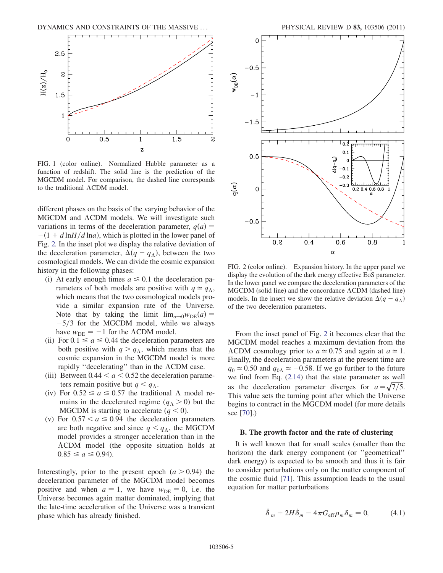<span id="page-4-0"></span>

FIG. 1 (color online). Normalized Hubble parameter as a function of redshift. The solid line is the prediction of the MGCDM model. For comparison, the dashed line corresponds to the traditional  $\Lambda$ CDM model.

different phases on the basis of the varying behavior of the MGCDM and  $\Lambda$ CDM models. We will investigate such variations in terms of the deceleration parameter,  $q(a)$  =  $-(1+d \ln H/d \ln a)$ , which is plotted in the lower panel of Fig. [2.](#page-4-1) In the inset plot we display the relative deviation of the deceleration parameter,  $\Delta(q - q_{\Lambda})$ , between the two cosmological models. We can divide the cosmic expansion history in the following phases:

- (i) At early enough times  $a \leq 0.1$  the deceleration parameters of both models are positive with  $q \approx q_{\Lambda}$ , which means that the two cosmological models provide a similar expansion rate of the Universe. Note that by taking the limit  $\lim_{a\to 0}w_{DE}(a) =$  $-5/3$  for the MGCDM model, while we always have  $w_{\text{DE}} = -1$  for the  $\Lambda$ CDM model.
- (ii) For  $0.1 \le a \le 0.44$  the deceleration parameters are both positive with  $q > q_{\Lambda}$ , which means that the cosmic expansion in the MGCDM model is more rapidly "decelerating" than in the  $\Lambda$ CDM case.
- (iii) Between  $0.44 < a < 0.52$  the deceleration parameters remain positive but  $q < q_\Lambda$ .
- (iv) For  $0.52 \le a \le 0.57$  the traditional  $\Lambda$  model remains in the decelerated regime  $(q_{\Lambda} > 0)$  but the MGCDM is starting to accelerate  $(q < 0)$ .
- (v) For  $0.57 < a \le 0.94$  the deceleration parameters are both negative and since  $q < q<sub>\Lambda</sub>$ , the MGCDM model provides a stronger acceleration than in the CDM model (the opposite situation holds at  $0.85 \le a \le 0.94$ .

Interestingly, prior to the present epoch  $(a > 0.94)$  the deceleration parameter of the MGCDM model becomes positive and when  $a = 1$ , we have  $w_{DE} = 0$ , i.e. the Universe becomes again matter dominated, implying that the late-time acceleration of the Universe was a transient phase which has already finished.

<span id="page-4-1"></span>

FIG. 2 (color online). Expansion history. In the upper panel we display the evolution of the dark energy effective EoS parameter. In the lower panel we compare the deceleration parameters of the  $MGCDM$  (solid line) and the concordance  $\Lambda CDM$  (dashed line) models. In the insert we show the relative deviation  $\Delta(q - q_{\Lambda})$ of the two deceleration parameters.

From the inset panel of Fig. [2](#page-4-1) it becomes clear that the MGCDM model reaches a maximum deviation from the  $\Lambda$ CDM cosmology prior to  $a \approx 0.75$  and again at  $a \approx 1$ . Finally, the deceleration parameters at the present time are  $q_0 \approx 0.50$  and  $q_{0\Lambda} \approx -0.58$ . If we go further to the future we find from Eq. ([2.14\)](#page-2-6) that the state parameter as well as the deceleration parameter diverges for  $a = \sqrt{7/5}$ . This value sets the turning point after which the Universe begins to contract in the MGCDM model (for more details see [[70](#page-9-30)].)

### B. The growth factor and the rate of clustering

It is well known that for small scales (smaller than the horizon) the dark energy component (or ''geometrical'' dark energy) is expected to be smooth and thus it is fair to consider perturbations only on the matter component of the cosmic fluid [[71](#page-10-0)]. This assumption leads to the usual equation for matter perturbations

<span id="page-4-2"></span>
$$
\ddot{\delta}_m + 2H\dot{\delta}_m - 4\pi G_{\text{eff}}\rho_m \delta_m = 0, \qquad (4.1)
$$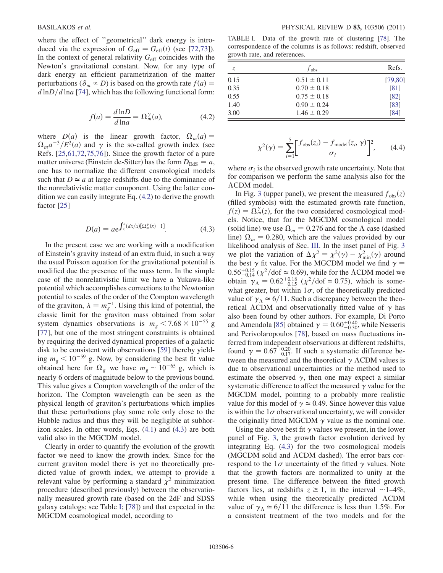where the effect of "geometrical" dark energy is introduced via the expression of  $G_{\text{eff}} = G_{\text{eff}}(t)$  (see [[72](#page-10-1)[,73](#page-10-2)]). In the context of general relativity  $G<sub>eff</sub>$  coincides with the Newton's gravitational constant. Now, for any type of dark energy an efficient parametrization of the matter perturbations ( $\delta_m \propto D$ ) is based on the growth rate  $f(a) \equiv$  $d \ln\frac{D}{d \ln a}$  [\[74\]](#page-10-3), which has the following functional form:

$$
f(a) = \frac{d \ln D}{d \ln a} = \Omega_m^{\gamma}(a),\tag{4.2}
$$

<span id="page-5-0"></span>where  $D(a)$  is the linear growth factor,  $\Omega_m(a) =$  $\Omega_m a^{-3}/E^2(a)$  and  $\gamma$  is the so-called growth index (see Refs. [\[25](#page-9-20)[,61,](#page-9-21)[72](#page-10-1),[75](#page-10-4),[76](#page-10-5)]). Since the growth factor of a pure matter universe (Einstein de-Sitter) has the form  $D_{\text{EdS}} = a$ , one has to normalize the different cosmological models such that  $D \simeq a$  at large redshifts due to the dominance of the nonrelativistic matter component. Using the latter condition we can easily integrate Eq. ([4.2](#page-5-0)) to derive the growth factor [[25](#page-9-20)]

$$
D(a) = a e^{\int_0^a (dx/x)[\Omega_m^{\gamma}(x) - 1]}.
$$
 (4.3)

<span id="page-5-1"></span>In the present case we are working with a modification of Einstein's gravity instead of an extra fluid, in such a way the usual Poisson equation for the gravitational potential is modified due the presence of the mass term. In the simple case of the nonrelativistic limit we have a Yukawa-like potential which accomplishes corrections to the Newtonian potential to scales of the order of the Compton wavelength of the graviton,  $\lambda = m_g^{-1}$ . Using this kind of potential, the classic limit for the graviton mass obtained from solar system dynamics observations is  $m_g < 7.68 \times 10^{-55}$  g [\[77\]](#page-10-6), but one of the most stringent constraints is obtained by requiring the derived dynamical properties of a galactic disk to be consistent with observations [\[59\]](#page-9-18) thereby yielding  $m_g < 10^{-59}$  g. Now, by considering the best fit value obtained here for  $\Omega_g$  we have  $m_g \sim 10^{-65}$  g, which is nearly 6 orders of magnitude below to the previous bound. This value gives a Compton wavelength of the order of the horizon. The Compton wavelength can be seen as the physical length of graviton's perturbations which implies that these perturbations play some role only close to the Hubble radius and thus they will be negligible at subhorizon scales. In other words, Eqs. [\(4.1\)](#page-4-2) and [\(4.3\)](#page-5-1) are both valid also in the MGCDM model.

Clearly in order to quantify the evolution of the growth factor we need to know the growth index. Since for the current graviton model there is yet no theoretically predicted value of growth index, we attempt to provide a relevant value by performing a standard  $\chi^2$  minimization procedure (described previously) between the observationally measured growth rate (based on the 2dF and SDSS galaxy catalogs; see Table [I](#page-5-2); [\[78\]](#page-10-7)) and that expected in the MGCDM cosmological model, according to

<span id="page-5-2"></span>TABLE I. Data of the growth rate of clustering [\[78\]](#page-10-7). The correspondence of the columns is as follows: redshift, observed growth rate, and references.

| Z.   | $f_{obs}$       | Refs.    |  |
|------|-----------------|----------|--|
| 0.15 | $0.51 \pm 0.11$ | [79, 80] |  |
| 0.35 | $0.70 \pm 0.18$ | [81]     |  |
| 0.55 | $0.75 \pm 0.18$ | [82]     |  |
| 1.40 | $0.90 \pm 0.24$ | [83]     |  |
| 3.00 | $1.46 \pm 0.29$ | [84]     |  |

$$
\chi^2(\gamma) = \sum_{i=1}^5 \left[ \frac{f_{\text{obs}}(z_i) - f_{\text{model}}(z_i, \gamma)}{\sigma_i} \right]^2, \qquad (4.4)
$$

where  $\sigma_i$  is the observed growth rate uncertainty. Note that for comparison we perform the same analysis also for the CDM model.

In Fig. [3](#page-6-1) (upper panel), we present the measured  $f_{obs}(z)$ (filled symbols) with the estimated growth rate function,  $f(z) = \Omega_m^{\gamma}(z)$ , for the two considered cosmological models. Notice, that for the MGCDM cosmological model (solid line) we use  $\Omega_m = 0.276$  and for the  $\Lambda$  case (dashed line)  $\Omega_m = 0.280$ , which are the values provided by our likelihood analysis of Sec. [III.](#page-3-0) In the inset panel of Fig. [3](#page-6-1) we plot the variation of  $\Delta \chi^2 = \chi^2(\gamma) - \chi^2_{\text{min}}(\gamma)$  around the best  $\gamma$  fit value. For the MGCDM model we find  $\gamma =$  $0.56^{+0.15}_{-0.14}$  ( $\chi^2$ /dof  $\simeq$  0.69), while for the  $\Lambda$ CDM model we obtain  $\gamma_{\Lambda} = 0.62^{+0.18}_{-0.15}$  ( $\chi^2/\text{dof} \approx 0.75$ ), which is somewhat greater, but within  $1\sigma$ , of the theoretically predicted value of  $\gamma_{\Lambda} \simeq 6/11$ . Such a discrepancy between the theoretical  $\Lambda$ CDM and observationally fitted value of  $\gamma$  has also been found by other authors. For example, Di Porto and Amendola [\[85\]](#page-10-8) obtained  $\gamma = 0.60^{+0.40}_{-0.30}$ , while Nesseris and Perivolaropoulos [\[78\]](#page-10-7), based on mass fluctuations inferred from independent observations at different redshifts, found  $\gamma = 0.67^{+0.20}_{-0.17}$ . If such a systematic difference between the measured and the theoretical  $\gamma$   $\Lambda$ CDM values is due to observational uncertainties or the method used to estimate the observed  $\gamma$ , then one may expect a similar systematic difference to affect the measured  $\gamma$  value for the MGCDM model, pointing to a probably more realistic value for this model of  $\gamma \approx 0.49$ . Since however this value is within the  $1\sigma$  observational uncertainty, we will consider the originally fitted MGCDM  $\gamma$  value as the nominal one.

Using the above best fit  $\gamma$  values we present, in the lower panel of Fig. [3](#page-6-1), the growth factor evolution derived by integrating Eq. [\(4.3\)](#page-5-1) for the two cosmological models (MGCDM solid and  $\Lambda$ CDM dashed). The error bars correspond to the  $1\sigma$  uncertainty of the fitted  $\gamma$  values. Note that the growth factors are normalized to unity at the present time. The difference between the fitted growth factors lies, at redshifts  $z \ge 1$ , in the interval ~1–4%, while when using the theoretically predicted  $\Lambda$ CDM value of  $\gamma_{\Lambda} \simeq 6/11$  the difference is less than 1.5%. For a consistent treatment of the two models and for the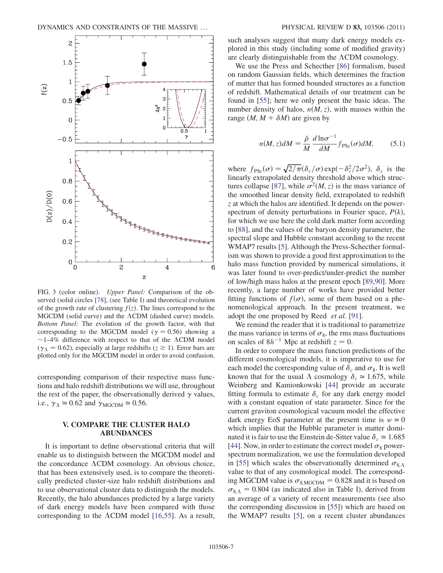<span id="page-6-1"></span>

FIG. 3 (color online). Upper Panel: Comparison of the observed (solid circles [\[78\]](#page-10-7), (see Table [I](#page-5-2)) and theoretical evolution of the growth rate of clustering  $f(z)$ . The lines correspond to the  $MGCDM$  (solid curve) and the  $\Lambda CDM$  (dashed curve) models. Bottom Panel: The evolution of the growth factor, with that corresponding to the MGCDM model ( $\gamma = 0.56$ ) showing a  $\sim$ 1–4% difference with respect to that of the  $\Lambda$ CDM model ( $\gamma_{\Lambda} = 0.62$ ), especially at large redshifts ( $z \ge 1$ ). Error bars are plotted only for the MGCDM model in order to avoid confusion.

corresponding comparison of their respective mass functions and halo redshift distributions we will use, throughout the rest of the paper, the observationally derived  $\gamma$  values, i.e.,  $\gamma_{\Lambda} \simeq 0.62$  and  $\gamma_{\text{MGCDM}} \simeq 0.56$ .

# V. COMPARE THE CLUSTER HALO ABUNDANCES

<span id="page-6-0"></span>It is important to define observational criteria that will enable us to distinguish between the MGCDM model and the concordance  $\Lambda$ CDM cosmology. An obvious choice, that has been extensively used, is to compare the theoretically predicted cluster-size halo redshift distributions and to use observational cluster data to distinguish the models. Recently, the halo abundances predicted by a large variety of dark energy models have been compared with those corresponding to the  $\Lambda$ CDM model [[16](#page-9-31),[55](#page-9-32)]. As a result, such analyses suggest that many dark energy models explored in this study (including some of modified gravity) are clearly distinguishable from the  $\Lambda$ CDM cosmology.

We use the Press and Schecther [\[86\]](#page-10-15) formalism, based on random Gaussian fields, which determines the fraction of matter that has formed bounded structures as a function of redshift. Mathematical details of our treatment can be found in [[55](#page-9-32)]; here we only present the basic ideas. The number density of halos,  $n(M, z)$ , with masses within the range  $(M, M + \delta M)$  are given by

<span id="page-6-2"></span>
$$
n(M, z)dM = \frac{\bar{\rho}}{M} \frac{d \ln \sigma^{-1}}{dM} f_{\text{PSc}}(\sigma) dM, \qquad (5.1)
$$

where  $f_{PSc}(\sigma) = \sqrt{2/\pi} (\delta_c/\sigma) \exp(-\delta_c^2/2\sigma^2)$ ,  $\delta_c$  is the linearly extrapolated density threshold above which struc-tures collapse [[87](#page-10-16)], while  $\sigma^2(M, z)$  is the mass variance of the smoothed linear density field, extrapolated to redshift z at which the halos are identified. It depends on the powerspectrum of density perturbations in Fourier space,  $P(k)$ , for which we use here the cold dark matter form according to [\[88\]](#page-10-17), and the values of the baryon density parameter, the spectral slope and Hubble constant according to the recent WMAP7 results [\[5\]](#page-8-8). Although the Press-Schecther formalism was shown to provide a good first approximation to the halo mass function provided by numerical simulations, it was later found to over-predict/under-predict the number of low/high mass halos at the present epoch [\[89,](#page-10-18)[90\]](#page-10-19). More recently, a large number of works have provided better fitting functions of  $f(\sigma)$ , some of them based on a phenomenological approach. In the present treatment, we adopt the one proposed by Reed et al. [[91](#page-10-20)].

We remind the reader that it is traditional to parametrize the mass variance in terms of  $\sigma_8$ , the rms mass fluctuations on scales of  $8h^{-1}$  Mpc at redshift  $z = 0$ .

In order to compare the mass function predictions of the different cosmological models, it is imperative to use for each model the corresponding value of  $\delta_c$  and  $\sigma_8$ . It is well known that for the usual  $\Lambda$  cosmology  $\delta_c \approx 1.675$ , while Weinberg and Kamionkowski [\[44\]](#page-9-14) provide an accurate fitting formula to estimate  $\delta_c$  for any dark energy model with a constant equation of state parameter. Since for the current graviton cosmological vacuum model the effective dark energy EoS parameter at the present time is  $w \approx 0$ which implies that the Hubble parameter is matter dominated it is fair to use the Einstein de-Sitter value  $\delta_c \approx 1.685$ [\[44\]](#page-9-14). Now, in order to estimate the correct model  $\sigma_8$  powerspectrum normalization, we use the formulation developed in [\[55\]](#page-9-32) which scales the observationally determined  $\sigma_{8, \Lambda}$ value to that of any cosmological model. The corresponding MGCDM value is  $\sigma_{8,\text{MGCDM}} = 0.828$  and it is based on  $\sigma_{8A} = 0.804$  (as indicated also in Table [I](#page-5-2)), derived from an average of a variety of recent measurements (see also the corresponding discussion in [\[55\]](#page-9-32)) which are based on the WMAP7 results [\[5\]](#page-8-8), on a recent cluster abundances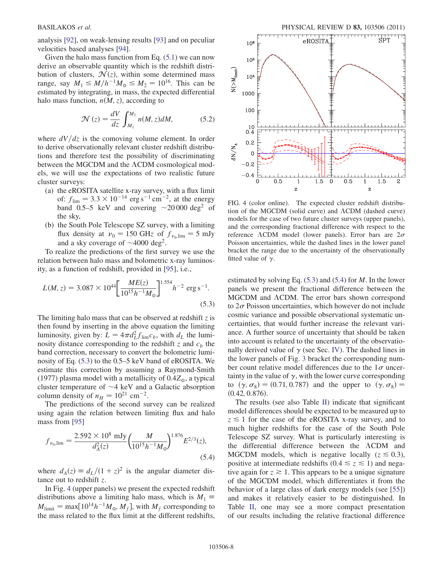analysis [[92](#page-10-21)], on weak-lensing results [[93](#page-10-22)] and on peculiar velocities based analyses [\[94\]](#page-10-23).

Given the halo mass function from Eq.  $(5.1)$  we can now derive an observable quantity which is the redshift distribution of clusters,  $\mathcal{N}(z)$ , within some determined mass range, say  $M_1 \leq M/h^{-1}M_{\odot} \leq M_2 = 10^{16}$ . This can be estimated by integrating, in mass, the expected differential halo mass function,  $n(M, z)$ , according to

$$
\mathcal{N}(z) = \frac{dV}{dz} \int_{M_1}^{M_2} n(M, z) dM,
$$
 (5.2)

where  $dV/dz$  is the comoving volume element. In order to derive observationally relevant cluster redshift distributions and therefore test the possibility of discriminating between the MGCDM and the  $\Lambda$ CDM cosmological models, we will use the expectations of two realistic future cluster surveys:

- (a) the eROSITA satellite x-ray survey, with a flux limit of:  $f_{\text{lim}} = 3.3 \times 10^{-14} \text{ erg s}^{-1} \text{ cm}^{-2}$ , at the energy band 0.5–5 keV and covering  $\sim$ 20 000 deg<sup>2</sup> of the sky,
- (b) the South Pole Telescope SZ survey, with a limiting flux density at  $v_0 = 150$  GHz of  $f_{v_0,lim} = 5$  mJy and a sky coverage of  $\sim$ 4000 deg<sup>2</sup>.

To realize the predictions of the first survey we use the relation between halo mass and bolometric x-ray luminosity, as a function of redshift, provided in [[95](#page-10-24)], i.e.,

<span id="page-7-0"></span>
$$
L(M, z) = 3.087 \times 10^{44} \left[ \frac{ME(z)}{10^{15} h^{-1} M_{\odot}} \right]^{1.554} h^{-2} \text{ erg s}^{-1}.
$$
\n(5.3)

The limiting halo mass that can be observed at redshift  $z$  is then found by inserting in the above equation the limiting luminosity, given by:  $L = 4\pi d_L^2 f_{\text{lim}} c_b$ , with  $d_L$  the luminosity distance corresponding to the redshift z and  $c<sub>b</sub>$  the band correction, necessary to convert the bolometric luminosity of Eq. ([5.3](#page-7-0)) to the 0.5–5 keV band of eROSITA. We estimate this correction by assuming a Raymond-Smith (1977) plasma model with a metallicity of  $0.4Z_\odot$ , a typical cluster temperature of  $\sim$ 4 keV and a Galactic absorption column density of  $n_H = 10^{21}$  cm<sup>-2</sup>.

The predictions of the second survey can be realized using again the relation between limiting flux and halo mass from [[95](#page-10-24)]

<span id="page-7-2"></span>
$$
f_{\nu_0,\text{lim}} = \frac{2.592 \times 10^8 \text{ mJy}}{d_A^2(z)} \left(\frac{M}{10^{15}h^{-1}M_\odot}\right)^{1.876} E^{2/3}(z),\tag{5.4}
$$

where  $d_A(z) \equiv d_L/(1+z)^2$  is the angular diameter distance out to redshift z.

In Fig. [4](#page-7-1) (upper panels) we present the expected redshift distributions above a limiting halo mass, which is  $M_1 \equiv$  $M_{\text{limit}} = \max[10^{14} h^{-1} M_{\odot}, M_f]$ , with  $M_f$  corresponding to the mass related to the flux limit at the different redshifts,

<span id="page-7-1"></span>

FIG. 4 (color online). The expected cluster redshift distribution of the MGCDM (solid curve) and  $\Lambda$ CDM (dashed curve) models for the case of two future cluster surveys (upper panels), and the corresponding fractional difference with respect to the reference  $\Lambda$ CDM model (lower panels). Error bars are  $2\sigma$ Poisson uncertainties, while the dashed lines in the lower panel bracket the range due to the uncertainty of the observationally fitted value of  $\gamma$ .

estimated by solving Eq.  $(5.3)$  $(5.3)$  $(5.3)$  and  $(5.4)$  $(5.4)$  $(5.4)$  for M. In the lower panels we present the fractional difference between the MGCDM and ACDM. The error bars shown correspond to  $2\sigma$  Poisson uncertainties, which however do not include cosmic variance and possible observational systematic uncertainties, that would further increase the relevant variance. A further source of uncertainty that should be taken into account is related to the uncertainty of the observationally derived value of  $\gamma$  (see Sec. [IV\)](#page-3-1). The dashed lines in the lower panels of Fig. [3](#page-6-1) bracket the corresponding number count relative model differences due to the  $1\sigma$  uncertainty in the value of  $\gamma$ , with the lower curve corresponding to  $(\gamma, \sigma_8) = (0.71, 0.787)$  and the upper to  $(\gamma, \sigma_8) =$  $(0.42, 0.876).$ 

The results (see also Table [II](#page-8-10)) indicate that significant model differences should be expected to be measured up to  $z \leq 1$  for the case of the eROSITA x-ray survey, and to much higher redshifts for the case of the South Pole Telescope SZ survey. What is particularly interesting is the differential difference between the  $\Lambda$ CDM and MGCDM models, which is negative locally  $(z \le 0.3)$ , positive at intermediate redshifts (0.4  $\le z \le 1$ ) and negative again for  $z \ge 1$ . This appears to be a unique signature of the MGCDM model, which differentiates it from the behavior of a large class of dark energy models (see [[55](#page-9-32)]) and makes it relatively easier to be distinguished. In Table [II,](#page-8-10) one may see a more compact presentation of our results including the relative fractional difference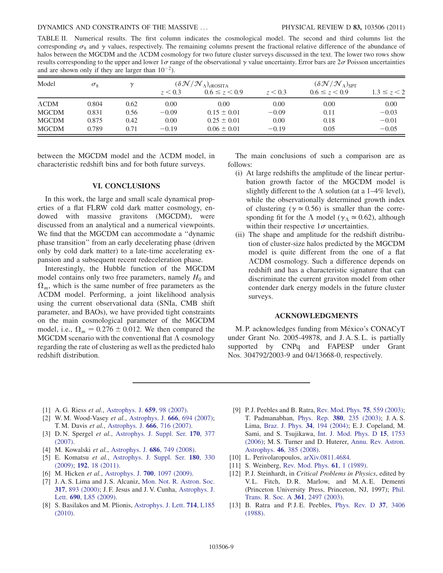<span id="page-8-10"></span>TABLE II. Numerical results. The first column indicates the cosmological model. The second and third columns list the corresponding  $\sigma_8$  and  $\gamma$  values, respectively. The remaining columns present the fractional relative difference of the abundance of halos between the MGCDM and the ACDM cosmology for two future cluster surveys discussed in the text. The lower two rows show results corresponding to the upper and lower  $1\sigma$  range of the observational  $\gamma$  value uncertainty. Error bars are  $2\sigma$  Poisson uncertainties and are shown only if they are larger than  $10^{-2}$ ).

| Model         | $\sigma_8$ | $\mathcal V$ | ( $\delta \mathcal{N}/\mathcal{N}_{\Lambda}$ ) <sub>erosita</sub> |                     | $(\delta \mathcal{N} / \mathcal{N}_\Lambda)_{\text{SPT}}$ |                     |                 |
|---------------|------------|--------------|-------------------------------------------------------------------|---------------------|-----------------------------------------------------------|---------------------|-----------------|
|               |            |              | z < 0.3                                                           | $0.6 \le z \le 0.9$ | z < 0.3                                                   | $0.6 \le z \le 0.9$ | $1.3 \le z < 2$ |
| $\Lambda$ CDM | 0.804      | 0.62         | 0.00                                                              | 0.00                | 0.00                                                      | 0.00                | 0.00            |
| <b>MGCDM</b>  | 0.831      | 0.56         | $-0.09$                                                           | $0.15 \pm 0.01$     | $-0.09$                                                   | 0.11                | $-0.03$         |
| <b>MGCDM</b>  | 0.875      | 0.42         | 0.00                                                              | $0.25 \pm 0.01$     | 0.00                                                      | 0.18                | $-0.01$         |
| <b>MGCDM</b>  | 0.789      | 0.71         | $-0.19$                                                           | $0.06 \pm 0.01$     | $-0.19$                                                   | 0.05                | $-0.05$         |

between the MGCDM model and the  $\Lambda$ CDM model, in characteristic redshift bins and for both future surveys.

## VI. CONCLUSIONS

<span id="page-8-7"></span>In this work, the large and small scale dynamical properties of a flat FLRW cold dark matter cosmology, endowed with massive gravitons (MGCDM), were discussed from an analytical and a numerical viewpoints. We find that the MGCDM can accommodate a ''dynamic phase transition'' from an early decelerating phase (driven only by cold dark matter) to a late-time accelerating expansion and a subsequent recent redeceleration phase.

Interestingly, the Hubble function of the MGCDM model contains only two free parameters, namely  $H_0$  and  $\Omega_m$ , which is the same number of free parameters as the CDM model. Performing, a joint likelihood analysis using the current observational data (SNIa, CMB shift parameter, and BAOs), we have provided tight constraints on the main cosmological parameter of the MGCDM model, i.e.,  $\Omega_m = 0.276 \pm 0.012$ . We then compared the MGCDM scenario with the conventional flat  $\Lambda$  cosmology regarding the rate of clustering as well as the predicted halo redshift distribution.

The main conclusions of such a comparison are as follows:

- (i) At large redshifts the amplitude of the linear perturbation growth factor of the MGCDM model is slightly different to the  $\Lambda$  solution (at a 1–4% level), while the observationally determined growth index of clustering ( $\gamma \approx 0.56$ ) is smaller than the corresponding fit for the  $\Lambda$  model ( $\gamma_{\Lambda} \approx 0.62$ ), although within their respective  $1\sigma$  uncertainties.
- (ii) The shape and amplitude for the redshift distribution of cluster-size halos predicted by the MGCDM model is quite different from the one of a flat CDM cosmology. Such a difference depends on redshift and has a characteristic signature that can discriminate the current graviton model from other contender dark energy models in the future cluster surveys.

## ACKNOWLEDGMENTS

M. P. acknowledges funding from México's CONACyT under Grant No. 2005-49878, and J. A. S. L. is partially supported by CNPq and FAPESP under Grant Nos. 304792/2003-9 and 04/13668-0, respectively.

- <span id="page-8-0"></span>[1] A. G. Riess et al., [Astrophys. J.](http://dx.doi.org/10.1086/510378) 659, 98 (2007).
- [2] W. M. Wood-Vasey et al., [Astrophys. J.](http://dx.doi.org/10.1086/518642) 666, 694 (2007); T. M. Davis et al., [Astrophys. J.](http://dx.doi.org/10.1086/519988) 666, 716 (2007).
- [3] D. N. Spergel et al., [Astrophys. J. Suppl. Ser.](http://dx.doi.org/10.1086/513700) 170, 377 [\(2007\)](http://dx.doi.org/10.1086/513700).
- <span id="page-8-8"></span>[4] M. Kowalski et al., [Astrophys. J.](http://dx.doi.org/10.1086/589937) 686, 749 (2008).
- <span id="page-8-9"></span>[5] E. Komatsu et al., [Astrophys. J. Suppl. Ser.](http://dx.doi.org/10.1088/0067-0049/180/2/330) 180, 330 [\(2009\)](http://dx.doi.org/10.1088/0067-0049/180/2/330); 192[, 18 \(2011\)](http://dx.doi.org/10.1088/0067-0049/192/2/18).
- [6] M. Hicken *et al.*, Astrophys. J. **700**[, 1097 \(2009\)](http://dx.doi.org/10.1088/0004-637X/700/2/1097).
- [7] J. A. S. Lima and J. S. Alcaniz, [Mon. Not. R. Astron. Soc.](http://dx.doi.org/10.1046/j.1365-8711.2000.03695.x) 317[, 893 \(2000\)](http://dx.doi.org/10.1046/j.1365-8711.2000.03695.x); J. F. Jesus and J. V. Cunha, [Astrophys. J.](http://dx.doi.org/10.1088/0004-637X/690/1/L85) Lett. 690[, L85 \(2009\).](http://dx.doi.org/10.1088/0004-637X/690/1/L85)
- <span id="page-8-1"></span>[8] S. Basilakos and M. Plionis, [Astrophys. J. Lett.](http://dx.doi.org/10.1088/2041-8205/714/2/L185) 714, L185 [\(2010\)](http://dx.doi.org/10.1088/2041-8205/714/2/L185).
- <span id="page-8-2"></span>[9] P. J. Peebles and B. Ratra, [Rev. Mod. Phys.](http://dx.doi.org/10.1103/RevModPhys.75.559) 75, 559 (2003); T. Padmanabhan, Phys. Rep. 380[, 235 \(2003\)](http://dx.doi.org/10.1016/S0370-1573(03)00120-0); J. A. S. Lima, [Braz. J. Phys.](http://dx.doi.org/10.1590/S0103-97332004000200009) 34, 194 (2004); E. J. Copeland, M. Sami, and S. Tsujikawa, [Int. J. Mod. Phys. D](http://dx.doi.org/10.1142/S021827180600942X) 15, 1753 [\(2006\)](http://dx.doi.org/10.1142/S021827180600942X); M. S. Turner and D. Huterer, [Annu. Rev. Astron.](http://dx.doi.org/10.1146/annurev.astro.46.060407.145243) Astrophys. 46[, 385 \(2008\)](http://dx.doi.org/10.1146/annurev.astro.46.060407.145243).
- <span id="page-8-4"></span><span id="page-8-3"></span>[10] L. Perivolaropoulos, [arXiv.0811.4684.](http://arXiv.org/abs/arXiv.0811.4684)
- <span id="page-8-5"></span>[11] S. Weinberg, [Rev. Mod. Phys.](http://dx.doi.org/10.1103/RevModPhys.61.1) **61**, 1 (1989).
- [12] P.J. Steinhardt, in Critical Problems in Physics, edited by V. L. Fitch, D. R. Marlow, and M. A. E. Dementi (Princeton University Press, Princeton, NJ, 1997); [Phil.](http://dx.doi.org/10.1098/rsta.2003.1290) [Trans. R. Soc. A](http://dx.doi.org/10.1098/rsta.2003.1290) 361, 2497 (2003).
- <span id="page-8-6"></span>[13] B. Ratra and P.J.E. Peebles, [Phys. Rev. D](http://dx.doi.org/10.1103/PhysRevD.37.3406) 37, 3406 [\(1988\)](http://dx.doi.org/10.1103/PhysRevD.37.3406).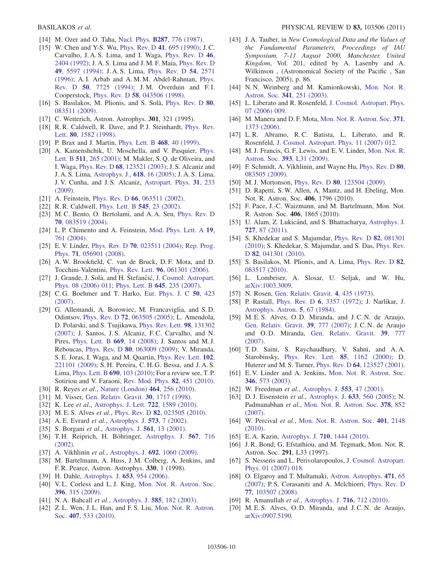- [14] M. Ozer and O. Taha, Nucl. Phys. **B287**[, 776 \(1987\).](http://dx.doi.org/10.1016/0550-3213(87)90128-3)
- [15] W. Chen and Y-S. Wu, [Phys. Rev. D](http://dx.doi.org/10.1103/PhysRevD.41.695) 41, 695 (1990); J.C. Carvalho, J. A. S. Lima, and I. Waga, [Phys. Rev. D](http://dx.doi.org/10.1103/PhysRevD.46.2404) 46, [2404 \(1992\)](http://dx.doi.org/10.1103/PhysRevD.46.2404); J. A. S. Lima and J. M. F. Maia, [Phys. Rev. D](http://dx.doi.org/10.1103/PhysRevD.49.5597) 49[, 5597 \(1994\);](http://dx.doi.org/10.1103/PhysRevD.49.5597) J. A. S. Lima, [Phys. Rev. D](http://dx.doi.org/10.1103/PhysRevD.54.2571) 54, 2571 [\(1996\)](http://dx.doi.org/10.1103/PhysRevD.54.2571); A. I. Arbab and A. M. M. Abdel-Rahman, [Phys.](http://dx.doi.org/10.1103/PhysRevD.50.7725) Rev. D 50[, 7725 \(1994\)](http://dx.doi.org/10.1103/PhysRevD.50.7725); J. M. Overduin and F. I. Cooperstock, Phys. Rev. D 58[, 043506 \(1998\)](http://dx.doi.org/10.1103/PhysRevD.58.043506).
- <span id="page-9-31"></span>[16] S. Basilakos, M. Plionis, and S. Solà, [Phys. Rev. D](http://dx.doi.org/10.1103/PhysRevD.80.083511) 80, [083511 \(2009\)](http://dx.doi.org/10.1103/PhysRevD.80.083511).
- [17] C. Wetterich, Astron. Astrophys. **301**, 321 (1995).
- [18] R.R. Caldwell, R. Dave, and P.J. Steinhardt, [Phys. Rev.](http://dx.doi.org/10.1103/PhysRevLett.80.1582) Lett. 80[, 1582 \(1998\).](http://dx.doi.org/10.1103/PhysRevLett.80.1582)
- [19] P. Brax and J. Martin, [Phys. Lett. B](http://dx.doi.org/10.1016/S0370-2693(99)01209-5) 468, 40 (1999).
- [20] A. Kamenshchik, U. Moschella, and V. Pasquier, [Phys.](http://dx.doi.org/10.1016/S0370-2693(01)00571-8) Lett. B 511[, 265 \(2001\);](http://dx.doi.org/10.1016/S0370-2693(01)00571-8) M. Makler, S. Q. de Oliveira, and I. Waga, Phys. Rev. D 68[, 123521 \(2003\);](http://dx.doi.org/10.1103/PhysRevD.68.123521) J. S. Alcaniz and J. A. S. Lima, [Astrophys. J.,](http://dx.doi.org/10.1086/425860) 618, 16 (2005); J. A. S. Lima, J. V. Cunha, and J. S. Alcaniz, [Astropart. Phys.](http://dx.doi.org/10.1016/j.astropartphys.2009.01.004) 31, 233 [\(2009\)](http://dx.doi.org/10.1016/j.astropartphys.2009.01.004).
- [21] A. Feinstein, Phys. Rev. D 66[, 063511 \(2002\)](http://dx.doi.org/10.1103/PhysRevD.66.063511).
- [22] R. R. Caldwell, [Phys. Lett. B](http://dx.doi.org/10.1016/S0370-2693(02)02589-3) **545**, 23 (2002).
- [23] M.C. Bento, O. Bertolami, and A.A. Sen, [Phys. Rev. D](http://dx.doi.org/10.1103/PhysRevD.70.083519) 70[, 083519 \(2004\)](http://dx.doi.org/10.1103/PhysRevD.70.083519).
- [24] L.P. Chimento and A. Feinstein, [Mod. Phys. Lett. A](http://dx.doi.org/10.1142/S0217732304013507) 19, [761 \(2004\)](http://dx.doi.org/10.1142/S0217732304013507).
- <span id="page-9-20"></span>[25] E.V. Linder, Phys. Rev. D **70**[, 023511 \(2004\);](http://dx.doi.org/10.1103/PhysRevD.70.023511) [Rep. Prog.](http://dx.doi.org/10.1088/0034-4885/71/5/056901) Phys. 71[, 056901 \(2008\)](http://dx.doi.org/10.1088/0034-4885/71/5/056901).
- [26] A. W. Brookfield, C. van de Bruck, D. F. Mota, and D. Tocchini-Valentini, Phys. Rev. Lett. 96[, 061301 \(2006\).](http://dx.doi.org/10.1103/PhysRevLett.96.061301)
- [27] J. Grande, J. Solà, and H. Štefančić, [J. Cosmol. Astropart.](http://dx.doi.org/10.1088/1475-7516/2006/08/011) [Phys. 08 \(2006\) 011;](http://dx.doi.org/10.1088/1475-7516/2006/08/011) [Phys. Lett. B](http://dx.doi.org/10.1016/j.physletb.2006.12.040) 645, 235 (2007).
- <span id="page-9-0"></span>[28] C. G. Boehmer and T. Harko, [Eur. Phys. J. C](http://dx.doi.org/10.1140/epjc/s10052-007-0210-1) 50, 423 [\(2007\)](http://dx.doi.org/10.1140/epjc/s10052-007-0210-1).
- <span id="page-9-1"></span>[29] G. Allemandi, A. Borowiec, M. Francaviglia, and S. D. Odintsov, Phys. Rev. D 72[, 063505 \(2005\);](http://dx.doi.org/10.1103/PhysRevD.72.063505) L. Amendola, D. Polarski, and S. Tsujikawa, [Phys. Rev. Lett.](http://dx.doi.org/10.1103/PhysRevLett.98.131302) 98, 131302 [\(2007\)](http://dx.doi.org/10.1103/PhysRevLett.98.131302); J. Santos, J. S. Alcaniz, F. C. Carvalho, and N. Pires, [Phys. Lett. B](http://dx.doi.org/10.1016/j.physletb.2008.09.019) 669, 14 (2008); J. Santos and M. J. Reboucas, Phys. Rev. D 80[, 063009 \(2009\)](http://dx.doi.org/10.1103/PhysRevD.80.063009); V. Miranda, S. E. Joras, I. Waga, and M. Quartin, [Phys. Rev. Lett.](http://dx.doi.org/10.1103/PhysRevLett.102.221101) 102, [221101 \(2009\);](http://dx.doi.org/10.1103/PhysRevLett.102.221101) S. H. Pereira, C. H. G. Bessa, and J. A. S. Lima, [Phys. Lett. B](http://dx.doi.org/10.1016/j.physletb.2010.05.027) 690, 103 (2010); For a review see, T. P. Sotiriou and V. Faraoni, [Rev. Mod. Phys.](http://dx.doi.org/10.1103/RevModPhys.82.451) 82, 451 (2010).
- <span id="page-9-3"></span><span id="page-9-2"></span>[30] R. Reyes et al., [Nature \(London\)](http://dx.doi.org/10.1038/nature08857) 464, 256 (2010).
- <span id="page-9-4"></span>[31] M. Visser, [Gen. Relativ. Gravit.](http://dx.doi.org/10.1023/A:1026611026766) **30**, 1717 (1998).
- <span id="page-9-5"></span>[32] K. Lee et al., [Astrophys. J. Lett.](http://dx.doi.org/10.1088/0004-637X/722/2/1589) **722**, 1589 (2010).
- <span id="page-9-6"></span>[33] M. E. S. Alves et al., Phys. Rev. D 82[, 023505 \(2010\).](http://dx.doi.org/10.1103/PhysRevD.82.023505)
- <span id="page-9-7"></span>[34] A. E. Evrard et al., [Astrophys. J.](http://dx.doi.org/10.1086/340551) 573, 7 (2002).
- [35] S. Borgani et al., [Astrophys. J.](http://dx.doi.org/10.1086/323214) **561**, 13 (2001).
- [36] T.H. Reiprich, H. Böhringer, [Astrophys. J.](http://dx.doi.org/10.1086/338753) 567, 716 [\(2002\)](http://dx.doi.org/10.1086/338753).
- <span id="page-9-8"></span>[37] A. Vikhlinin et al., Astrophys. J. 692[, 1060 \(2009\)](http://dx.doi.org/10.1088/0004-637X/692/2/1060).
- <span id="page-9-9"></span>[38] M. Bartelmann, A. Huss, J.M. Colberg, A. Jenkins, and F. R. Pearce, Astron. Astrophys. 330, 1 (1998).
- <span id="page-9-10"></span>[39] H. Dahle, [Astrophys. J.](http://dx.doi.org/10.1086/508654) **653**, 954 (2006).
- [40] V.L. Corless and L.J. King, [Mon. Not. R. Astron. Soc.](http://dx.doi.org/10.1111/j.1365-2966.2009.14542.x) 396[, 315 \(2009\).](http://dx.doi.org/10.1111/j.1365-2966.2009.14542.x)
- <span id="page-9-11"></span>[41] N. A. Bahcall *et al.*, [Astrophys. J.](http://dx.doi.org/10.1086/345981) **585**, 182 (2003).
- <span id="page-9-12"></span>[42] Z.L. Wen, J.L. Han, and F.S. Liu, [Mon. Not. R. Astron.](http://dx.doi.org/10.1111/j.1365-2966.2010.16930.x) Soc. 407[, 533 \(2010\)](http://dx.doi.org/10.1111/j.1365-2966.2010.16930.x).
- <span id="page-9-13"></span>[43] J. A. Tauber, in New Cosmological Data and the Values of the Fundamental Parameters, Proceedings of IAU Symposium, 7-11 August 2000, Manchester, United Kingdom, Vol. 201, edited by A. Lasenby and A. Wilkinson , (Astronomical Society of the Pacific , San Francisco, 2005), p. 86.
- <span id="page-9-14"></span>[44] N. N. Weinberg and M. Kamionkowski, [Mon. Not. R.](http://dx.doi.org/10.1046/j.1365-8711.2003.06421.x) Astron. Soc. 341[, 251 \(2003\).](http://dx.doi.org/10.1046/j.1365-8711.2003.06421.x)
- [45] L. Liberato and R. Rosenfeld, [J. Cosmol. Astropart. Phys.](http://dx.doi.org/10.1088/1475-7516/2006/07/009) [07 \(2006\) 009.](http://dx.doi.org/10.1088/1475-7516/2006/07/009)
- [46] M. Manera and D. F. Mota, [Mon. Not. R. Astron. Soc.](http://dx.doi.org/10.1111/j.1365-2966.2006.10774.x) 371, [1373 \(2006\)](http://dx.doi.org/10.1111/j.1365-2966.2006.10774.x).
- [47] L. R. Abramo, R. C. Batista, L. Liberato, and R. Rosenfeld, [J. Cosmol. Astropart. Phys. 11 \(2007\) 012](http://dx.doi.org/10.1088/1475-7516/2007/11/012).
- [48] M. J. Francis, G. F. Lewis, and E. V. Linder, [Mon. Not. R.](http://dx.doi.org/10.1111/j.1745-3933.2008.00592.x) Astron. Soc. 393[, L31 \(2009\).](http://dx.doi.org/10.1111/j.1745-3933.2008.00592.x)
- [49] F. Schmidt, A. Vikhlinin, and Wayne Hu, [Phys. Rev. D](http://dx.doi.org/10.1103/PhysRevD.80.083505) 80, [083505 \(2009\).](http://dx.doi.org/10.1103/PhysRevD.80.083505)
- [50] M.J. Mortonson, Phys. Rev. D **80**[, 123504 \(2009\)](http://dx.doi.org/10.1103/PhysRevD.80.123504).
- [51] D. Rapetti, S. W. Allen, A. Mantz, and H. Ebeling, Mon. Not. R. Astron. Soc. 406, 1796 (2010).
- [52] F. Pace, J.-C. Waizmann, and M. Bartelmann, Mon. Not. R. Astron. Soc. 406, 1865 (2010).
- [53] U. Alam, Z. Lukicánd, and S. Bhattacharya, [Astrophys. J.](http://dx.doi.org/10.1088/0004-637X/727/2/87) 727[, 87 \(2011\)](http://dx.doi.org/10.1088/0004-637X/727/2/87).
- [54] S. Khedekar and S. Majumdar, [Phys. Rev. D](http://dx.doi.org/10.1103/PhysRevD.82.081301) 82, 081301 [\(2010\)](http://dx.doi.org/10.1103/PhysRevD.82.081301); S. Khedekar, S. Majumdar, and S. Das, [Phys. Rev.](http://dx.doi.org/10.1103/PhysRevD.82.041301) D **82**[, 041301 \(2010\)](http://dx.doi.org/10.1103/PhysRevD.82.041301).
- <span id="page-9-32"></span>[55] S. Basilakos, M. Plionis, and A. Lima, [Phys. Rev. D](http://dx.doi.org/10.1103/PhysRevD.82.083517) 82, [083517 \(2010\).](http://dx.doi.org/10.1103/PhysRevD.82.083517)
- <span id="page-9-15"></span>[56] L. Lombriser, A. Slosar, U. Seljak, and W. Hu, [arXiv:1003.3009.](http://arXiv.org/abs/1003.3009)
- <span id="page-9-16"></span>[57] N. Rosen, [Gen. Relativ. Gravit.](http://dx.doi.org/10.1007/BF01215403) 4, 435 (1973).
- <span id="page-9-17"></span>[58] P. Rastall, Phys. Rev. D 6[, 3357 \(1972\)](http://dx.doi.org/10.1103/PhysRevD.6.3357); J. Narlikar, [J.](http://dx.doi.org/10.1007/BF02714973) [Astrophys. Astron.](http://dx.doi.org/10.1007/BF02714973) 5, 67 (1984).
- <span id="page-9-18"></span>[59] M. E. S. Alves, O. D. Miranda, and J. C. N. de Araujo, [Gen. Relativ. Gravit.](http://dx.doi.org/10.1007/s10714-007-0420-8) 39, 777 (2007); J. C. N. de Araujo and O. D. Miranda, [Gen. Relativ. Gravit.](http://dx.doi.org/10.1007/s10714-007-0420-8) 39, 777 [\(2007\)](http://dx.doi.org/10.1007/s10714-007-0420-8).
- <span id="page-9-19"></span>[60] T. D. Saini, S. Raychaudhury, V. Sahni, and A. A. Starobinsky, [Phys. Rev. Lett.](http://dx.doi.org/10.1103/PhysRevLett.85.1162) 85, 1162 (2000); D. Huterer and M. S. Turner, Phys. Rev. D 64[, 123527 \(2001\).](http://dx.doi.org/10.1103/PhysRevD.64.123527)
- <span id="page-9-21"></span>[61] E. V. Linder and A. Jenkins, [Mon. Not. R. Astron. Soc.](http://dx.doi.org/10.1046/j.1365-2966.2003.07112.x) 346[, 573 \(2003\).](http://dx.doi.org/10.1046/j.1365-2966.2003.07112.x)
- <span id="page-9-23"></span><span id="page-9-22"></span>[62] W. Freedman et al., [Astrophys. J.](http://dx.doi.org/10.1086/320638) **553**, 47 (2001).
- [63] D. J. Eisenstein et al., [Astrophys. J.](http://dx.doi.org/10.1086/466512) 633, 560 (2005); N. Padmanabhan et al., [Mon. Not. R. Astron. Soc.](http://dx.doi.org/10.1111/j.1365-2966.2007.11593.x) 378, 852 [\(2007\)](http://dx.doi.org/10.1111/j.1365-2966.2007.11593.x).
- <span id="page-9-29"></span>[64] W. Percival et al., [Mon. Not. R. Astron. Soc.](http://dx.doi.org/10.1111/j.1365-2966.2009.15812.x) 401, 2148 [\(2010\)](http://dx.doi.org/10.1111/j.1365-2966.2009.15812.x).
- <span id="page-9-25"></span><span id="page-9-24"></span>[65] E.A. Kazin, Astrophys. J. **710**[, 1444 \(2010\).](http://dx.doi.org/10.1088/0004-637X/710/2/1444)
- [66] J.R. Bond, G. Efstathiou, and M. Tegmark, Mon. Not. R. Astron. Soc. 291, L33 (1997).
- <span id="page-9-26"></span>[67] S. Nesseris and L. Perivolaropoulos, [J. Cosmol. Astropart.](http://dx.doi.org/10.1088/1475-7516/2007/01/018) [Phys. 01 \(2007\) 018.](http://dx.doi.org/10.1088/1475-7516/2007/01/018)
- <span id="page-9-27"></span>[68] O. Elgaroy and T. Multamaki, [Astron. Astrophys.](http://dx.doi.org/10.1051/0004-6361:20077292) 471, 65 [\(2007\)](http://dx.doi.org/10.1051/0004-6361:20077292); P. S. Corasaniti and A. Melchiorri, [Phys. Rev. D](http://dx.doi.org/10.1103/PhysRevD.77.103507) 77[, 103507 \(2008\)](http://dx.doi.org/10.1103/PhysRevD.77.103507).
- <span id="page-9-28"></span>[69] R. Amanullah et al., [Astrophys. J.](http://dx.doi.org/10.1088/0004-637X/716/1/712) **716**, 712 (2010).
- <span id="page-9-30"></span>[70] M. E. S. Alves, O. D. Miranda, and J. C. N. de Araujo, [arXiv:0907.5190.](http://arXiv.org/abs/0907.5190)